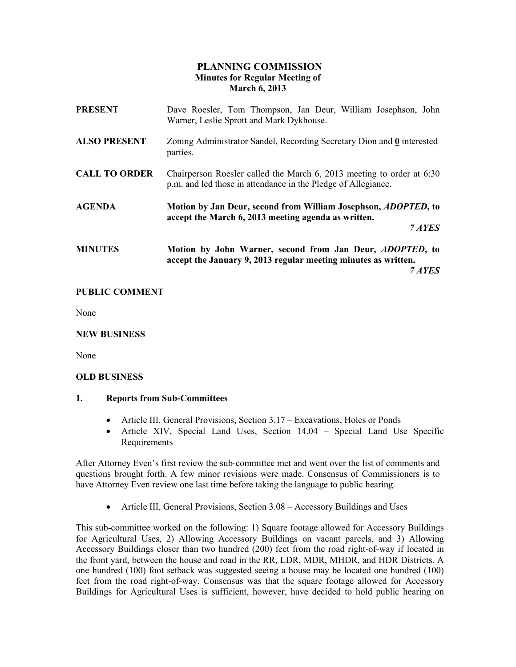# PLANNING COMMISSION Minutes for Regular Meeting of March 6, 2013

| <b>PRESENT</b>       | Dave Roesler, Tom Thompson, Jan Deur, William Josephson, John<br>Warner, Leslie Sprott and Mark Dykhouse.                                    |
|----------------------|----------------------------------------------------------------------------------------------------------------------------------------------|
| <b>ALSO PRESENT</b>  | Zoning Administrator Sandel, Recording Secretary Dion and 0 interested<br>parties.                                                           |
| <b>CALL TO ORDER</b> | Chairperson Roesler called the March 6, 2013 meeting to order at 6:30<br>p.m. and led those in attendance in the Pledge of Allegiance.       |
| <b>AGENDA</b>        | Motion by Jan Deur, second from William Josephson, <i>ADOPTED</i> , to<br>accept the March 6, 2013 meeting agenda as written.<br>7 AYES      |
| <b>MINUTES</b>       | Motion by John Warner, second from Jan Deur, <i>ADOPTED</i> , to<br>accept the January 9, 2013 regular meeting minutes as written.<br>7 AYES |

# PUBLIC COMMENT

None

#### NEW BUSINESS

None

#### OLD BUSINESS

#### 1. Reports from Sub-Committees

- Article III, General Provisions, Section 3.17 Excavations, Holes or Ponds
- Article XIV, Special Land Uses, Section 14.04 Special Land Use Specific Requirements

After Attorney Even's first review the sub-committee met and went over the list of comments and questions brought forth. A few minor revisions were made. Consensus of Commissioners is to have Attorney Even review one last time before taking the language to public hearing.

• Article III, General Provisions, Section 3.08 – Accessory Buildings and Uses

This sub-committee worked on the following: 1) Square footage allowed for Accessory Buildings for Agricultural Uses, 2) Allowing Accessory Buildings on vacant parcels, and 3) Allowing Accessory Buildings closer than two hundred (200) feet from the road right-of-way if located in the front yard, between the house and road in the RR, LDR, MDR, MHDR, and HDR Districts. A one hundred (100) foot setback was suggested seeing a house may be located one hundred (100) feet from the road right-of-way. Consensus was that the square footage allowed for Accessory Buildings for Agricultural Uses is sufficient, however, have decided to hold public hearing on